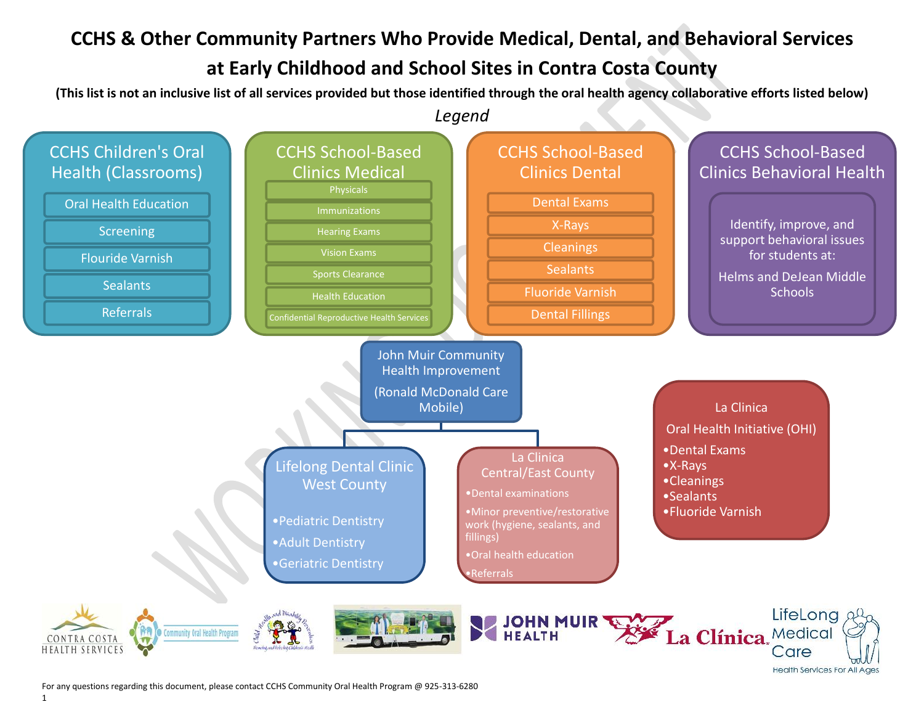#### **CCHS & Other Community Partners Who Provide Medical, Dental, and Behavioral Services**

#### **at Early Childhood and School Sites in Contra Costa County**

**(This list is not an inclusive list of all services provided but those identified through the oral health agency collaborative efforts listed below)**



Care

**Health Services For All Ages** 

For any questions regarding this document, please contact CCHS Community Oral Health Program @ 925-313-6280

**HEALTH SERVICES**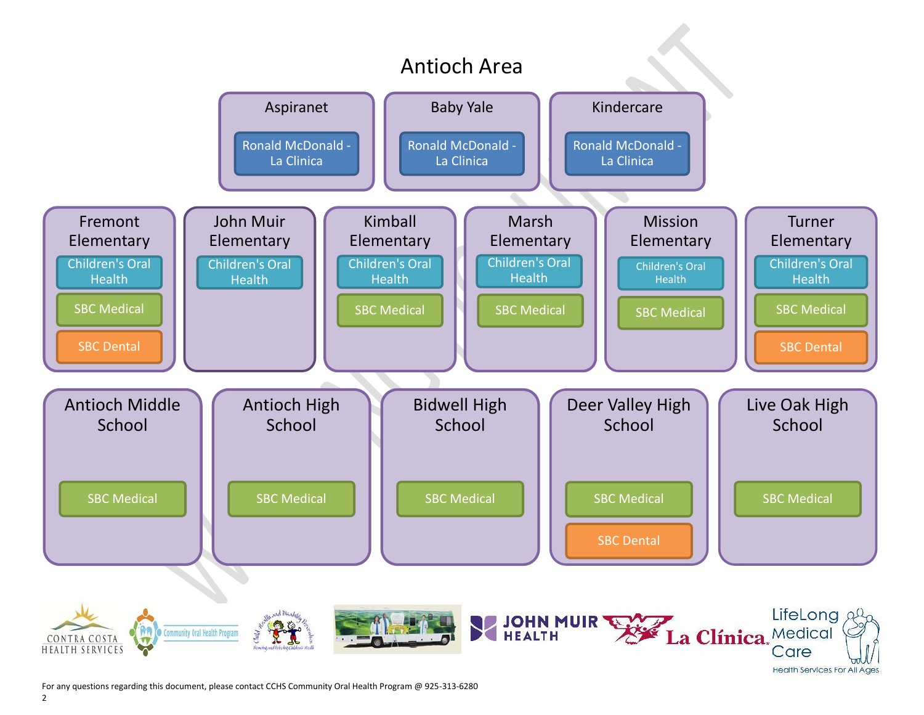

For any questions regarding this document, please contact CCHS Community Oral Health Program @ 925-313-6280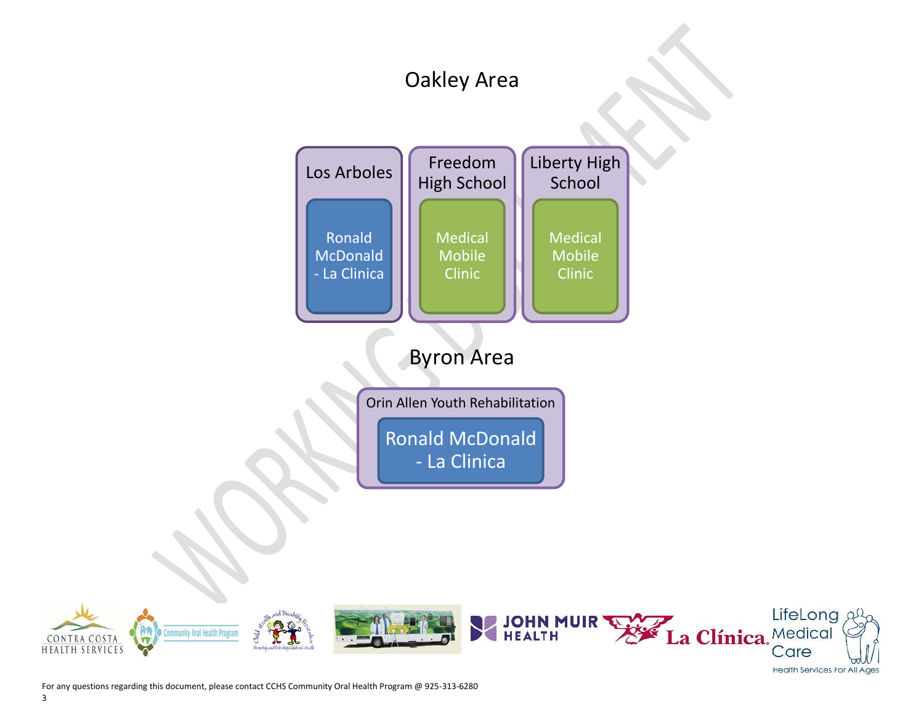### Oakley Area





3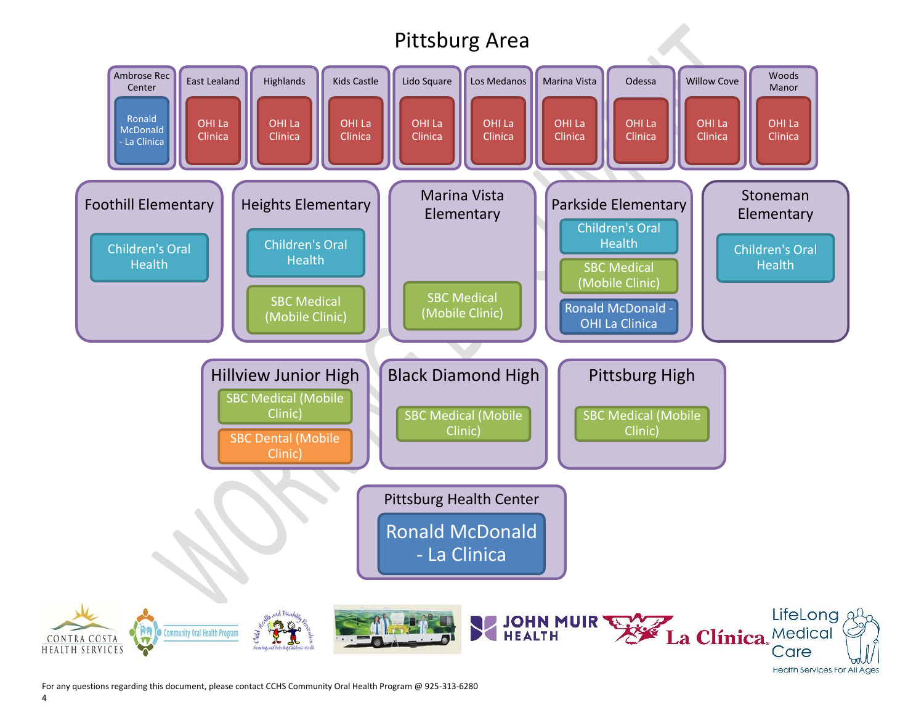# Pittsburg Area



For any questions regarding this document, please contact CCHS Community Oral Health Program @ 925-313-6280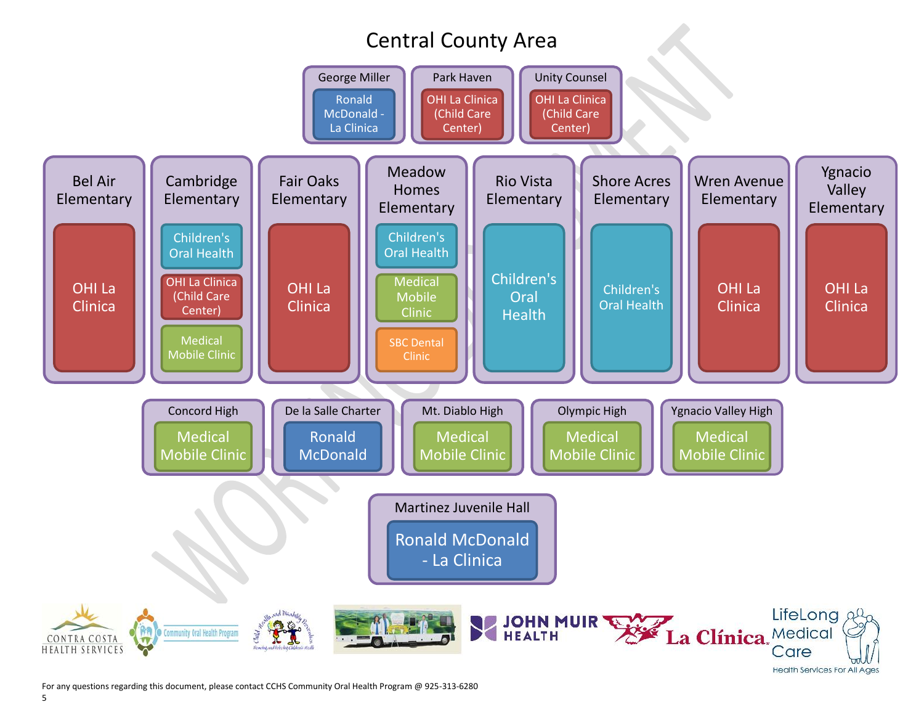# Central County Area



For any questions regarding this document, please contact CCHS Community Oral Health Program @ 925-313-6280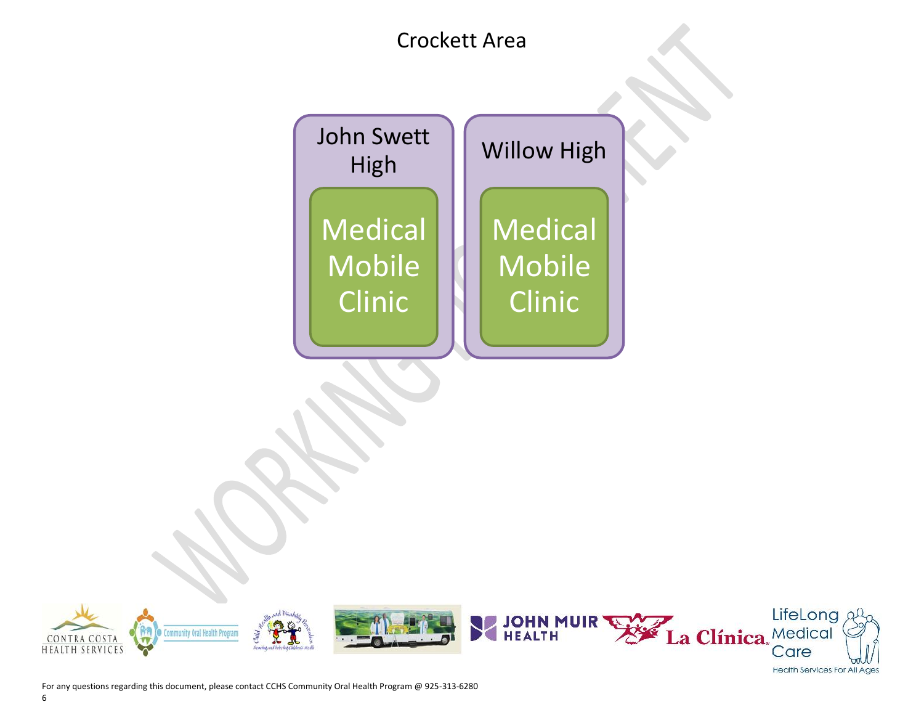### Crockett Area